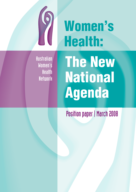

# Women's Health:

Australian Women's Health Network

# The New **National** Agenda

Position paper | March 2008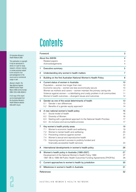## **Contents**

| Foreword       |                                                                             |                |  |
|----------------|-----------------------------------------------------------------------------|----------------|--|
|                | About the AWHN                                                              | 4              |  |
|                | Related papers                                                              | 4              |  |
|                | Acknowledgements                                                            | 4              |  |
| 1              | Executive summary                                                           | 5              |  |
| $\overline{2}$ | Understanding why women's health matters                                    | $\overline{7}$ |  |
| 3              | Building on the first Australian National Women's Health Policy             | 8              |  |
| 4              | Current status of women in Australia                                        | 10             |  |
|                | Population-women live longer than men                                       | 10             |  |
|                | Economic security-women are less economically secure                        | 10             |  |
|                | Women as mothers and carers-women maintain the primary caring role          | 11             |  |
|                | Violence against women-a debilitating and costly problem in all communities | 11             |  |
|                | Women's health outcomes-divergent issues and outcomes                       | 12             |  |
| 5              | Gender as one of the social determinants of health                          | 13             |  |
|                | 5.1<br>Gender y sex differences                                             | 13.            |  |
|                | 5.2<br>Benefits of a gender equity approach                                 | 14             |  |
| 6              | A new national women's health policy                                        | 15             |  |
|                | 6.1<br>Social model of health                                               | 16             |  |
|                | 6.2<br>Diversity of Women                                                   | 16             |  |
|                | Starting with a gendered approach to the National Health Priorities<br>6.3  | 17             |  |
|                | An inclusive and accountable process<br>6.4                                 | 17             |  |
| 7              | Key women's health priority areas                                           | 19             |  |
|                | 7.1<br>Women's economic health and wellbeing                                | 19             |  |
|                | 7.2<br>Women's mental health and wellbeing                                  | 20             |  |
|                | 7.3<br>Preventing violence against women                                    | 21             |  |
|                | 7.4<br>Women's sexual and reproductive health                               | 22             |  |
|                | 7.5<br>Improving women's access to publicly-funded and                      |                |  |
|                | financially-accessible health services                                      | 24             |  |
| A              | International developments in women's health policy                         | 26             |  |
| в              | Women's health policy in Australia (1985-2007)                              | 27             |  |
|                | Development of the National Women's Health Policy 1989                      | 27             |  |
|                | 1997-98 to 1998-99 Public Health Outcomes Funding Agreements (PHOFAs)       | 28             |  |
| C              | Current approaches to women's health by jurisdiction                        | 30             |  |
| D              | Milestones in women's health in Australia<br>31                             |                |  |
|                | References                                                                  | 32             |  |

#### © Australian Women's Health Network 2008

This publication is copyright. It may be reproduced in whole or in part for study, research, criticism, training or review purposes subject to the inclusion of an acknowledgement of the source and no commercial usage or sale.

*Women's Health: The New National Agenda:* AWHN Position Paper March 2008 (online format): ISBN: 978-0-646-49344-2

A full copy of this report can be downloaded from the Australian Women's Health Network website: www.awhn.org.au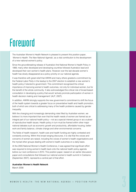## <span id="page-2-0"></span>Foreword

The Australian Women's Health Network is pleased to present this position paper, *'Women's Health: The New National Agenda'*, as a vital contribution to the development of a new national women's policy.

Since the groundbreaking release of Australia's first National Women's Health Policy in 1989, many other developed and developing countries followed Australia's lead and developed their own women's health plans. However over the last decade women's health has slowly disappeared as a policy priority on our national agenda.

It was therefore with great relief that AWHN and many others greeted a commitment by the Federal Labor Party in the leadup to the 2007 election to establish a new women's health policy if elected to government. This commitment recognised the critical importance of improving women's health outcomes, not only for individual women, but for the benefit of the whole community. It also acknowledged the critical role of broad-based consultation in developing a policy that would 'actively promote participation of women in health decision making and management' (ALP, 2007).

In addition, AWHN strongly supports the new government's commitment to shift the focus of the health system towards a greater focus on preventative health and health promotion, both of which are critical to addressing many of the health problems caused by gender inequality.

With the changing and increasingly demanding roles filled by Australian women, we believe it is more important than ever that the health needs of women are framed as an integral part of our national health policy—not as a special interest group or as a subset of reproductive health issues. Health policy in turn must be framed within other major national debates such as economic growth and productivity, affordable housing, better work and family balance, climate change and other environmental concerns.

The fields of health research, health care and health funding are highly contested and constantly evolving. Within this broad ranging discourse, it is vital that the voices and concerns of women are raised, including the voices of women's health organisations and the myriad other groups dealing with women's health outcomes on a daily basis.

At the 2005 National Women's Health Conference, it was agreed that significant effort was required to bring women's health back onto the national health policy agenda before our next conference in 2010. This position paper, based on an earlier discussion paper and consultations that followed our national women's health summit in Canberra (September 2007), represents a central part of that effort.

**Australian Women's Health Network**

March 2008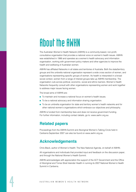## <span id="page-3-0"></span>About the AWHN

The Australian Women's Health Network (AWHN) is a community-based, non-profit, consultative organisation that provides a national voice on women's health issues. AWHN was established in 1986 and operates as a women's health advocacy and information organisation, working with government policy makers and other agencies to improve the health and wellbeing of Australian women.

AWHN has affiliated Networks in all states and territories of Australia. Both the state/territory groups and the umbrella national organisation represent a wide cross section of women, and organisations representing specific groups of women. As health is interpreted in a broad social context, women from a range of interest groups take up AWHN membership. The organisation cuts across political, economic, social and ethnic barriers. Women's Health Networks frequently consult with other organisations representing women and work together to address major issues facing women.

The broad aims of AWHN are:

- To maintain and increase a national focus on women's health issues.
- To be a national advocacy and information sharing organisation.
- To be an umbrella organisation for state and territory women's health networks and for other national women's organisations which embrace our objectives and philosophy.

AWHN is funded from membership fees and does not receive government funding. For further information, including contact details, go to: [www.awhn.org.au](http://www.awhn.org.au)

### **Related papers**

Proceedings from the AWHN Summit and Aboriginal Women's Talking Circle held in Canberra September 2007 can also be found on [www.awhn.org.au](http://www.awhn.org.au)

### **Acknowledgements**

Chris Black, author of Women's Health: The New National Agenda, on behalf of AWHN.

All organisations and individuals that provided input and feedback on the discussion paper, and through the National Women's Health Summit.

AWHN acknowledges with appreciation the support of the ACT Government and the Office of Aboriginal and Torres Strait Islander Health in running its 2007 National Women's Health Summit in Canberra.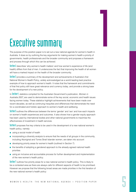## <span id="page-4-0"></span>Executive summary

The purpose of this position paper is to set out a new national agenda for women's health in Australia. It does so by outlining the key arguments for making women's health a priority of governments, health professionals and the broader community and proposes a framework and process through which this can be achieved.

1

**Section 2** describes 'why women's health matters' and how women's experience of life (and health) differs from that of men. It underscores the fact that improving the health of all women will have a marked impact on the health of the broader community.

**Section 3** provides a summary of the development and achievements of Australia's first National Women's Health Policy, widely acknowledged as a world leading best practice example of how to approach women's health. It notes that the framework and commitments of that first policy still have great relevance and currency today, and provide a strong base for the development of a new policy.

In Section 4, statistics compiled for the Australian Government's publication, *Women in Australia 2007,* are used to demonstrate some of the key social, economic and health issues facing women today. These statistics highlight achievements that have been made over recent decades, as well as continuing inequities and differences that demonstrate the need for a coordinated and holistic approach to women's health and wellbeing.

**Section 5** outlines the differences between the terms 'gender' and 'sex' and how each impacts on women's health experiences and outcomes. It also shows how a gender equity approach has been used by international bodies and other national governments to maximise the effectiveness of investment in health services.

**Section 6** proposes five key criteria to be used in the development of a new national women's health policy, namely:

- using a social model of health
- incorporating a diversity analysis to ensure that the needs of all groups in the community. including Aboriginal and Torres Strait Islander women, are taken into account
- developing priority areas for women's health (outlined in Section 7)
- the benefits of adopting a gendered approach to the already agreed national health priorities
- using an inclusive and accountable process for further development and implementation of the new women's health policy.

Section 7 outlines five priority areas for a new national women's health policy. This is likely to be a contested area as there are always calls for different aspects of health to be prioritised. However we propose that the following broad areas are made priorities in the first iteration of the new national women's health policy: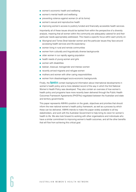- women's economic health and wellbeing
- women's mental health and wellbeing
- preventing violence against women (in all its forms)
- women's sexual and reproductive health
- improving women's access to publicly funded and financially accessible health services.

Importantly all of these issues should be tackled from within the perspective of a diversity analysis, meaning that all women within the community are adequately catered for and their particular needs appropriately addressed. This means a specific focus within each priority on:

- Aboriginal and Torres Strait Islander women and the particular issues they face around accessing health services and life expectancy
- women living in rural and remote communities
- women from culturally and linguistically diverse backgrounds
- older women in our rapidly ageing population
- health needs of young women and girls
- women with disabilities
- lesbian, bisexual, transgender and intersex women
- recently arrived migrants and refugee women
- mothers and women with other caring responsibilities
- women from disadvantaged socio-economic backgrounds.

Finally, the **Appendices** contain background information about international developments in women's health policy and a more detailed record of the way in which the first National Women's Health Policy was developed. They also contain an overview of how women's health policy and programs have more recently been delivered through the Public Health Outcomes Framework Agreements (PHOFAs) negotiated between the Australian and state and territory governments.

This paper represents AWHN's position on the goals, objectives and priorities that should inform the new national women's health policy framework, as well as a process by which these can be delivered. AWHN intends to make this paper widely available to all key stakeholders, and work with the Australian Government to help bring its vision for women's health to life. We also look forward to working with other organisations and individuals who have a similar commitment to improving women's health outcomes, and all the other benefits that will flow from achieving this critical goal.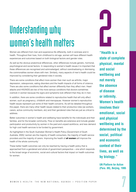# <span id="page-6-0"></span>Understanding why women's health matters health matters 2

Women are different from men and experience life differently, both in sickness and in health. Throughout their lives, from childhood to old age, women will have different health experiences and outcomes based on both biological factors and gender roles.

As well as the obvious anatomical differences, other differences include genetic, hormonal, psychological and social factors. In responding to women's health issues it is important that these differences are recognised and acknowledged, without overshadowing or dismissing the commonalities women share with men. Similarly, many aspects of men's health could be improved by considering their gendered roles in society.

There are some conditions that affect more women than men such as arthritis, major depression, osteoporosis, eating disorders and the health impacts of all forms of violence. There are also some conditions that affect women differently than they affect men. Heart attacks and HIV/AIDS are two of the more serious conditions that doctors sometimes overlook in women because the signs and symptoms look different than they do in men.

In addition, there are some conditions related to reproductive health that will only affect women, such as pregnancy, childbirth and menopause. However women's reproductive health issues represent just some of their health concerns. As will be detailed throughout this paper, there are many other health issues related to their productive roles (as workers, carers, active community members, etc) and their gendered roles that are just as critical to address.

Better outcomes in women's health and wellbeing have benefits for the individuals and their families, and for the broader community. Flow on benefits are extensive and include greater participation and productivity by women in the paid and unpaid workforce, and less demand for high cost health services to be funded by government.

As highlighted in the South Australian Women's Health Policy (Government of South Australia, 2005) 'women are the majority of health consumers, the majority of health service providers and the majority of carers. Improving the health of **all women** will improve the health of the whole community.'

These better health outcomes can only be reached by having a health policy that is approached from a gendered and whole of government perspective—one which responds to the broad range of economic, social and cultural factors that impact on health outcomes for women.

**"Health is a state of complete physical, mental and social wellbeing and not merely the absence of disease or infirmity. Women's health involves their emotional, social and physical wellbeing and is determined by the social, political and economic context of their lives, as well as by biology."** 

**UN Platform for Action (Para. 89), Beijing, 1995**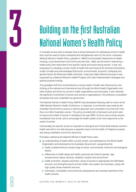# <span id="page-7-0"></span>**Building on the first Australian<br>Rational Women's Health Policy**

In Australia we are lucky to already have a strong framework for addressing women's health that could be used to build a refreshed and strengthened vision for the future. Australia's *National Women's Health Policy*, adopted in 1989 (Commonwealth Department of Health, Housing, Local Government and Community Services, 1993), led the world in delivering a health policy that responded to the specific needs and issues facing women. It was very progressive in adopting a social model of health that went beyond the dominant biomedical model of health and acknowledged that social, environmental, economic, biological and gender factors all influenced health outcomes. It was also highly effective because it was supported by a National Women's Health Program with clear implementation strategies and special purpose funding.

This paradigm shift from a biomedical to a social model of health was influenced by new thinking at the national and international level (through the World Health Organization and other bodies) and driven by women's health organisations and advocates. It also reflected the significant involvement of women and women's organisations in the extensive consultation processes that were undertaken by government.

The National Women's Health Policy (NWHP) was developed following calls for action at the 1985 National Women's Health Conference. In response, a commitment was made by the Australian Government to pursue a national approach and consultation occurred with more than one million Australian women. The policy provided both a framework and action plan to improve the health of women in Australia to the year 2000. Its focus was on those women considered most at risk, and to encourage the health system to be more responsive to the needs of women.

Unfortunately the specific issues so important to Aboriginal and Torres Strait Islander women's health were left to one side because a separate inquiry into the health of Indigenous people was being undertaken around the same time.

Principles underlying the National Women's Health Policy were:

- an understanding of health within a social context, as emphasised by the World Health Organization and endorsed by the Australian Government, recognising that:
	- health is determined by a broad range of social, environmental, economic and biological factors
	- differences in health status and health outcomes are linked to gender, age, socioeconomic status, ethnicity, disability, location and environment
	- health promotion, disease prevention, equity of access to appropriate and affordable services, and strengthening the primary health care system are necessary, along with high quality illness treatment services
	- information, consultation and community development are important elements of the health process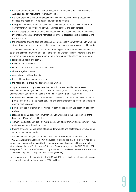- the need to encompass all of a woman's lifespan, and reflect women's various roles in Australian society, not just their reproductive role
- the need to promote greater participation by women in decision making about health services and health policy, as both consumers and providers
- recognising women's rights, as health care consumers, to be treated with dignity in an environment which provides for privacy, informed consent and confidentiality
- acknowledging that informed decisions about health and health care require accessible information which is appropriately targeted for different socioeconomic, educational and cultural groups
- the importance of using accurate data and research concerning women's health, women's views about health, and strategies which most effectively address women's health needs.

The Australian Government and all state and territory governments became signatories to the policy and committed funding to establish the National Women's Health Program. In the first four years of the program, it was agreed to tackle seven priority health issues for women:

- reproductive health and sexuality
- health of ageing women
- women's emotional and mental health needs
- violence against women
- occupational health and safety
- the health needs of women as carers
- the health effects of sex role stereotyping on women.

In implementing the policy, there were five key action areas identified as necessary within the health care system to improve women's health, and to be delivered through the Commonwealth-State agreed National Women's Health Program. These were:

- improvements in health services for women, based on a dual approach which meant the provision of more women's health services, and complementary improvements to existing general health services
- provision of health information for women, in both the prevention and treatment of health problems
- research and data collection on women's health (which led to the establishment of the Longitudinal Women's Health Study)
- women's participation in decision making on health, at government and community levels, and as consumers of health services
- training of health care providers, at both undergraduate and postgraduate levels, around women's health care needs.

A review of the first four year program led to it being renewed for a further four years (1993–97). Another evaluation in 1997 (unpublished) concluded that the program had been highly effective and highly valued by the women who used its services. However with the introduction of the new Public Health Outcomes Framework Agreements (PHOFAs) in 1997, the specific focus on women's health policy at the national level was lost (see Appendix B for details on history of the policy and current arrangements).

On a more positive note, in reviewing the 1989 NWHP today, it is clear that many of its goals and principles remain highly relevant in 2008 and beyond.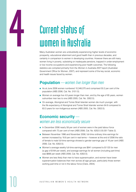<span id="page-9-0"></span>

# **Current status of<br>women in Australia**

Many Australian women are undoubtedly experiencing higher levels of economic prosperity, educational attainment and good health than in previous decades, and certainly in comparison to women in developing countries. However there are still many women living in poverty, subsisting on inadequate pensions, trapped in under-employment or low income occupations and experiencing poor health outcomes. The following statistics are compiled primarily from the *Women in Australia 2007* report (Australian Government Office for Women, 2007), and represent some of the key social, economic and health issues faced by women.

### **Population***—women live longer than men*

- As at June 2006 women numbered 10,348,070 and comprised 50.2 per cent of the population (ABS 2006, Cat. No. 3101.0).
- Women on average live 4.8 years longer than men, and by the age of 85 years, women outnumber men two to one (ABS 2005, Cat. No. 3302.0).
- On average, Aboriginal and Torres Strait Islander women die much younger, with the life expectancy of Aboriginal and Torres Strait Islander women 64.8 compared to 83.3 years for non-Indigenous women (ABS 2005, Cat. No. 3302.0).

### **Economic security***—*

### *women are less economically secure*

- In December 2006 nearly 58 per cent of women were in the paid labour force compared with 72 per cent of men (ABS 2006, Cat. No. 6202.0.55.001 Table 2).
- Between November 1996 and November 2006, full-time ordinary time earnings for women increased by 18.8 per cent in real terms—however at the end of 2006 the ratio of female to male full-time earnings showed a gender earnings gap of 16 per cent (ABS 2006, Cat. No. 6302.0).
- Women's average weekly full-time earnings are \$941 compared to \$1125 for men (a gap of \$184 per week), and average earnings for all women (including part-time) was \$666 per week (ABS 2006, Cat. No. 6302.0).
- Women are less likely than men to have superannuation, and women have lower superannuation balances than men across all age groups, particularly those women working part-time or not in the labour force (Clare, 2004).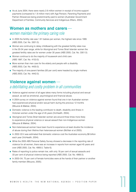<span id="page-10-0"></span>■ As at June 2004, there were nearly 2.6 million women in receipt of income support payments (compared to 1.8 million men) with Age Pension, Parenting Payments and Partner Allowances being predominantly paid to women (Australian Government Department of Families, Community Services and Indigenous Affairs, 2004).

### **Women as mothers and carers***—*

### *women maintain the primary caring role*

- In 2005 the fertility rate was 1.81 babies per woman, the highest rate since 1995 (ABS 2005, Cat. No. 3301.0).
- Women are continuing to delay childbearing with the greatest fertility rates now in the 30-34 year range, while for Aboriginal and Torres Strait Islander women the greatest fertility rates are for women under 30 years (ABS 2005, Cat. No. 3301.0).
- Women continue to do the majority of housework and child care (ABS 1997, Cat. No. 4153.0).
- More women than men care for the elderly and people with a disability (ABS 2003, Cat. No. 4430.0).
- The majority of one-parent families (83 per cent) were headed by single mothers (ABS 2003, Cat. No. 4442.0).

### **Violence against women***—*

### *a debilitating and costly problem in all communities*

- Violence against women of all ages takes many forms including physical and sexual assault, as well as emotional, psychological and financial abuse.
- A 2004 survey on violence against women found that one in ten Australian women had experienced physical and/or sexual harm during the previous 12 months (Mouzos & Makkai, 2004).
- Domestic violence is the leading contributor to death, disability and illness in Victorian women under the age of 45 years (VicHealth, 2004).
- Aboriginal and Torres Strait Islander women are around three times more likely to experience physical violence or sexual assault than non-Indigenous women (Mouzos & Makkai, 2004).
- Non-heterosexual women have been found to experience at least double the incidence of abuse during their lifetime than heterosexual women (McNair et al 2005).
- In 2002–03 it was estimated that domestic violence cost the Australian economy \$8 billion each year (VicHealth, 2004).
- While the 2005 ABS Personal Safety Survey showed a decrease in the reporting rate of violence for all women, there was an increase in reports from women aged 45 years and over (ABS 2005, Cat. No. 4906.0, Table 6).
- Rates of reporting to police remain low, with only 18 per cent of sexual assaults and 33 per cent of physical violence being reported (ABS 2005, Cat. No. 4906.0).
- In 2003–04, 75 per cent of female homicides were at the hands of their partner or another family member (Mouzos, 2005).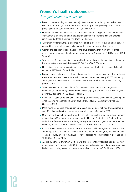### <span id="page-11-0"></span>**Women's health outcomes** *divergent issues and outcomes*

- Based on self-reporting surveys, the majority of women report being healthy but nearly twice as many Aboriginal and Torres Strait Islander people report only fair or poor health (ABS National Health Survey 2004–2005, Cat. No. 4364.0).
- However nearly four in five women suffer from at least one long term ill-health condition, with women experiencing higher prevalence asthma, hypertensive disease, chronic sinusitis and arthritis than men (ABS Cat. No. 4364.0).
- As women live longer, they experience more chronic disorders, requiring higher service use and they are far less likely to have a partner carer in their declining years.
- Women are less likely to report alcohol and drug problems than men, but 1.5 times more likely to report anxiety-related and mood (affective) problems (ABS Cat. No. 4364.0, Table 4).
- Women are 1.5 times more likely to report high levels of psychological distress than men, but lower rates of low level distress (ABS Cat. No. 4364.0, Table 14).
- Heart diseases, stroke, dementia and breast cancer are the leading causes of death for women (AIHW 2006b, Table 2.19).
- Breast cancer continues to be the most common type of cancer in women. It is projected that the incidence of breast cancer will continue to increase to nearly 15,000 women by 2011, yet the survival rates for both breast cancer and cervical cancer are improving (AIHW 2006a).
- The most common health risk factor for women is inadequate fruit and vegetable consumption (84 per cent), followed by excess weight (45 per cent) and lack of physical activity (33 per cent) (AIHW 2006b, Table 3.7).
- Since 1995, nearly twice as many women engaged in risky levels of alcohol consumption, while smoking rates remain relatively stable (ABS National Health Survey 2004–05, Cat. No. 4364.0).
- More young women are engaging in early sexual intercourse, with nearly one quarter of year 10 girls reporting involvement in sexual intercourse (Smith et al 2003).
- Chlamydia is the most frequently reported sexually transmitted infection, with an increase of more than 400 per cent over the last decade (National Centre in HIV Epidemiology and Clinical Research 2006). It is thought that genital warts and genital herpes are more common, but these are not notifiable diseases (AIHW 2006, Cat. No. AUS73).
- In 2003 there were 84,218 reported induced abortions, with the highest incidence in the 20–24 age group (21,826), and the lowest in girls under 15 years (306) and women over 44 years (498) (Grayson et al, 2005). However abortion rates have steadily declined since 1996 (Chan & Sage 2005).
- Around 95 per cent of women at risk of unplanned pregnancy reported using some form of contraception (Richters et al 2003), however sexually active school age girls were less likely to report using a condom than were a similar cohort in 1997 (Smith et al 2003).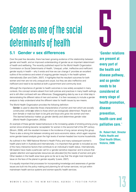# <span id="page-12-0"></span>Gender as one of the social Gender as one of the social<br>determinants of health<br>5.1 Gender v sex differences

### **5.1 Gender v sex differences**

Over the past few decades, there has been growing evidence of the relationship between gender and health, and an improved understanding of gender as an important determinant of health and wellbeing. The recently published report for the World Health Organization Commission on Social Determinants of Health, 'Unequal, unfair, ineffective and inefficient: gender equity in health—why it exists and how we can change it' provides an excellent outline of the evidence and extent of ongoing gender inequity in the health sphere internationally (Sen and Ostlin, 2007). It highlights that the resultant outcomes for both women and men are not only unequal and unjust, but they are also ineffective and inefficient and need to be tackled at both a government and community level.

Although the importance of gender to health outcomes is now widely accepted in many contexts, this concept remains absent from both policies and practices in many health settings, and is still often confused with sex differences. Disaggregating data by sex is an initial step in demonstrating the different ratios of men and women. It is then necessary to include a gender analysis to help understand what the different rates for health issues by sex means.

The World Health Organization provides the following definition:

Gender *is used to describe those characteristics of women and men which are socially constructed, while* sex *refers to those which are biologically determined. People are born female or male but learn to be girls and boys who grow into women and men. This learned behaviour makes up gender identity and determines gender roles (World Health Organization, 2002a).*

An example of these gender based behaviours is the increasing uptake of smoking among young women since smoking became 'acceptable' for women in the second half of the 20<sup>th</sup> century (Broom, 2006), with the resultant increase in the incidence of lung cancer among this group. There is also a strong link between smoking and socio-economic status, which again requires some gender-based analysis given the high levels of women-headed low income households.

As outlined in the 1989 National Women's Health Policy and many subsequent women's health plans both in Australia and internationally, it is important that gender is included as one of the many interactive factors that contribute to an individual's health status. Internationally, G8 leaders have made a particular call for a 'gender-sensitive response' and to ensure that 'greater attention and appropriate resources are allocated [to] the needs of women and girls.' Other leaders in the health area have gone so far as to say that 'the single most important issue on the face of the planet is gender equality' (Lewis, 2007).

It is equally important that processes for incorporating knowledge and awareness of gender issues are built into the policy making and planning for all human services, not just within mainstream health service systems and women-specific health services.

**'Gender relations are present at every part of the health and disease pathway, and so gender needs to be considered at every stage of health promotion, disease prevention, health care and palliative care.'**

**Dr. Robert Hall, Director Public Health and Chief Health Officer, Victoria, 2006**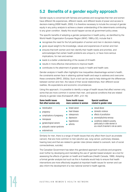### <span id="page-13-0"></span>**5.2 Benefits of a gender equity approach**

Gender equity is concerned with fairness and justness and recognises that men and women have different life experiences, different needs, and different levels of power and access to decision-making (NSW Health, 2000). It is therefore necessary to include the concept of gender equity in any policy analysis to achieve a clearer understanding of the determinants contributing to any given condition. Ideally this would happen across all government policy areas.

The specific benefits of adopting a gender perspective in health policy, as identified by the World Health Organization European Region (WHO, 1999 p.32), include that it:

- recognises the need for the full participation of women and men in decision-making
- gives equal weight to the knowledge, values and experiences of women and men
- ensures that both women and men identify their health needs and priorities, and acknowledges that certain health problems are unique to, or have more serious implications, for men and women
- leads to a better understanding of the causes of ill-health
- results in more effective interventions to improve health
- contributes to the attainment of greater equity in health and health care.

Gender analysis in health often highlights how inequalities disadvantage women's health, the constraints women face in attaining optimal health and ways to address and overcome these constraints (WHO, 2002a). Such a tool can be used to help distinguish the differences between women and men, the nature of their social relationships, their different social realities, life expectations and economic circumstances.

Using this approach, it is possible to identify a range of health issues that affect women only, some that are more common in women than men, and special conditions that are related directly to gender roles (Komaseroff, 2001, p12–16):

| Some health issues                                                                                                                                                            | Some health issues                                                                        | <b>Special conditions</b>                                                                                                                                                                             |  |
|-------------------------------------------------------------------------------------------------------------------------------------------------------------------------------|-------------------------------------------------------------------------------------------|-------------------------------------------------------------------------------------------------------------------------------------------------------------------------------------------------------|--|
| that affect women only                                                                                                                                                        | more common in women                                                                      | related to gender roles                                                                                                                                                                               |  |
| menstruation<br>pregnancy<br>complications of pregnancy<br>$\mathcal{L}_{\mathcal{A}}$<br>menopause<br>gynaecological cancers<br>polycystic ovarian syndrome<br>endometriosis | breast cancer<br>heart disease<br>osteoporosis<br>depression<br>hypertension<br>arthritis | sexual abuse<br>domestic violence<br>effects of prostitution<br>anorexia/bulimia nervosa<br>conditions related to poverty,<br>particularly in older women or<br>as a result of women's role as carers |  |

Similarly for men, there is a range of health issues that only affect them (such as prostate cancer), that are more common to men (alcohol use, lung cancer, pulmonary disease, hearing loss) and that are related to gender roles (stress related to overwork, lack of social connectedness, suicide).

The Canadian Government has taken this gendered approach to policies and programs even further by developing and mandating the use of 'gender-based analysis' as a tool for assessing the effects of gender on health and healthcare (Health Canada, 1999). Adopting a formal gender analysis tool such as this in Australia would help to ensure that health interventions are more effectively targeted at important health issues for women and can also inform the development of a new national women's health agenda.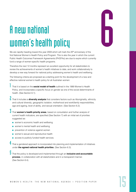# <span id="page-14-0"></span>A new national women's health policy

We are rapidly heading toward the year 2009 which will mark the 20<sup>th</sup> anniversary of the first National Women's Health Policy and Program. This is also the year in which the current Public Health Outcomes Framework Agreements (PHOFAs) are due to expire which currently fund a range of women-specific health programs.

Therefore the next 12 months represent an excellent opportunity for all stakeholders to review the achievements of women's health initiatives to date, and work collaboratively to develop a new way forward for national policy addressing women's health and wellbeing.

The following criteria are proposed as a starting point for the development of a new and effective national women's health policy for all Australian women:

1 That it is based on the **social model of health** outlined in the 1989 Women's Health Policy, and incorporates a specific focus on gender as one of the social determinants of health. (See Section 6.1).

2 That it includes a **diversity analysis** that considers factors such as Aboriginality, ethnicity and cultural diversity, geographic isolation, motherhood and work/family responsibilities, age and ageing, level of ability, and sexual orientation. (See Section 6.2).

3 That **women's health priority areas**, based on consultation and further analysis of current health indicators, are specified (See Section 7) with an initial set of priorities suggested as:

- women's economic health and wellbeing
- women's mental health and wellbeing
- prevention of violence against women
- women's sexual and reproductive health
- access to publicly funded health services.

4 That a gendered approach is incorporated into planning and implementation of initiatives under **the agreed national health priorities**. (See Section 6.3).

5 That the policy is developed and implemented through an **inclusive and accountable process**, in collaboration with all stakeholders and in a transparent manner. (See Section 6.4).

# 6

WOMEN'S HEALTH: THE NEW NATIONAL AGENDA — POSITION PAPER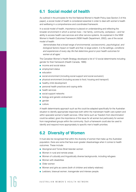### <span id="page-15-0"></span>**6.1 Social model of health**

As outlined in the principles for the first National Women's Health Policy (see Section 2 of this paper), a social model of health is considered essential in order to deal with women's health and wellbeing in a comprehensive and coordinated framework.

In a social model of health, importance is placed on understanding and reflecting the broader environment in which a woman lives—her family, community, workplace—and her ability to access health care services and other service systems. As explained in the NSW Women's Health Outcomes Framework (NSW Health Department, 2002), use of the social model of health:

*'demonstrates that a broad range of environmental, socioeconomic, psychological, and biological factors impact on health and that, to large extent, it is the settings, conditions and experiences of every day life that determine good or poor health outcomes for women at all ages.'*

The Canadian Women's Health Strategy developed a list of 12 social determinants including gender for their framework (Health Canada, 1999):

- income and social status
- employment status
- education
- social environment (including social support and social exclusion)
- physical environment (including access to food, housing and transport)
- healthy child development
- personal health practices and coping skills
- health services
- social support networks
- biology and genetic endowment
- gender
- culture.

A health determinants approach such as this could be adapted specifically for the Australian situation to identify appropriate responses both within the mainstream health care system and within specialist women's health services. Other items such as 'freedom from discrimination' could be added, given the importance of this issue for all women but particularly for women from marginalised groups within the community. Such a framework could also be used to identify and respond more appropriately to specific men's health priorities.

### **6.2 Diversity of Women**

It must also be recognised that within the diversity of women that make up the Australian population, there are some that face even greater disadvantage when it comes to health outcomes. These include:

- Aboriginal and Torres Strait Islander women
- Women in rural and remote areas
- Women of culturally and linguistically diverse backgrounds, including refugees
- Women with disabilities
- Older women
- Women and girls as carers (both of children and elderly relatives)
- Lesbians, bisexual women, transgender and intersex people.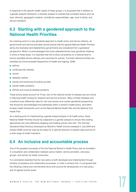<span id="page-16-0"></span>In response to the specific health needs of these groups, it is proposed that in addition to a gender analysis framework, a diversity analysis is overlaid that considers factors such as race, ethnicity, geographic isolation, work/family responsibilities, age, level of ability, and sexual orientation.

### **6.3 Starting with a gendered approach to the National Health Priorities**

As a starting point to a new gendered approach to health policy and service delivery, all governments and service providers should ensure that the agreed National Health Priorities set by the Australian and state/territory governments are considered from a gendered perspective. While it is acknowledged that some states/territories have gendered initiatives in some of these areas, it is important that this is done consistently on a national level to ensure equitable service delivery and outcomes for women. Currently national priorities are identified as (Commonwealth Department of Health and Ageing, 2006):

- asthma
- cardiovascular disease
- cancer
- diabetes mellitus
- injuries and poisoning (including suicide)
- mental health problems
- arthritis and musculo-skeletal problems.

These priority areas account for 75 per cent of the national burden of disease and are critical in directing health funding for research and service provision. Many of these diseases and conditions have differential rates for men and women and contain gendered perspectives that should be acknowledged and addressed within a women's health policy, and within broader health frameworks such as the National Mental Health Plan and the National Oral Health Plan.

As a starting point for implementing a gender-based analysis of all health policy, these National Health Priorities should be subjected to a gender analysis to ensure that existing approaches are most effectively targeting and treating women and men. The Victorian Gendered Data Directory developed by Women's Health Victoria (released in July 2004 and revised 2008) could be used as the basis for a national directory to present data sources for a wide range of health indicators.

### **6.4 An inclusive and accountable process**

One of the greatest successes of the first National Women's Health Policy was its foundation in consultation and collaboration between policy makers, service providers, advocacy groups, and women as health consumers.

It is considered essential that the new policy is both developed and implemented through similarly consultative and collaborative processes. In order to achieve this, it is proposed that the following criteria and commitments drive work around the development of a new policy and its agreed priority areas: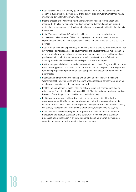- that Australian, state and territory governments be asked to provide leadership and commit to supporting the development of this policy, through involvement of their health ministers and ministers for women's affairs
- that the process of developing a new national women's health policy is adequately resourced—to allow for consultations, development and distribution of background materials, and involvement of all stakeholders (including women identified in the diversity framework)
- that a 'Women's Health and Gendered Health' section be established within the Commonwealth Department of Health and Ageing to support the development and implementation of women's health priority initiatives including preventative and self-help activities
- that AWHN as the national peak body for women's health should be federally-funded, with key functions to include: advice to government on the development and implementation of policy affecting women's health, advocacy for women's health and health promotion, provision of a forum for the exchange of information relating to women's health and capacity to undertake action research and special projects as required
- that the new policy is linked to a funded National Women's Health Program, with outcomes based funding processes established for each aspect of the new policy, including annual reports on progress and performance against agreed key indicators under each of the priority areas
- that state and territory women's health plans be developed in line with the National Women's Health Policy priorities and directions, with appropriate advisory and reporting mechanisms established at the state/territory level
- that the National Women's Health Policy be actively linked with other national health priority areas (including the National Mental Health Plan, the National Health and Medical Research Council agenda, and the National Health Priorities)
- that improving women's health and wellbeing is promoted at cabinet level within government as a critical factor in other relevant national policy areas (such as social inclusion, welfare reform, taxation and superannuation policy, industrial relations, housing assistance, Aboriginal and Torres Strait Islander affairs, foreign affairs policy, etc)
- that a clear evaluation and program development framework be devised to ensure transparent and rigorous evaluation of the policy, with a commitment to evaluation processes being undertaken in a timely manner and ongoing program development occurring to ensure the policy remains timely and relevant.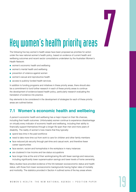

## <span id="page-18-0"></span>Key women's health priority areas

The following five key women's health areas have been proposed as priorities for action under the new national women's health policy, based on evidence of current health and wellbeing outcomes and recent sector consultations undertaken by the Australian Women's Health Network:

- women's economic health and wellbeing
- women's mental health and wellbeing
- prevention of violence against women
- women's sexual and reproductive health
- access to publicly funded health services.

In addition to funding programs and initiatives in these priority areas, there should also be a commitment to fund further research in each of these priority areas to continue the development of evidence-based health policy, particularly research evaluating the translation of evidence into practice.

Key elements to be considered in the development of strategies for each of these priority areas are outlined below.

### **7.1 Women's economic health and wellbeing**

A person's economic health and wellbeing has a major impact on their life chances, including their health outcomes. Unfortunately women continue to experience disadvantage on virtually every indicator of economic health and wellbeing, including their ability to financially support themselves through a longer life span than men and more years of disability. The reality of women's lives means that they typically:

- spend less time in the paid workforce
- need to take more time out from work to care for children and other family members
- face reduced job security through part-time and casual work, and therefore fewer career opportunities
- face sexism, racism and homophobia in the workplace in many instances
- are clustered in low income and low status occupations
- face longer time at the end of their working/caring life with fewer savings and resources, including significantly lower superannuation savings and lower levels of home ownership.

Many studies have provided evidence of the link between socioeconomic status and health status, with those from lower socioeconomic backgrounds having higher rates of mortality and morbidity. The statistics provided in Section 4 outlined some of the key areas where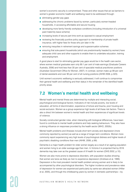<span id="page-19-0"></span>women's economic security is compromised. These and other issues that act as barriers to women's greater economic health and wellbeing need to be addressed through:

- eliminating gender pay gaps
- addressing the chronic problems faced by women, particularly women-headed households, in accessing affordable and secure housing
- developing more family friendly workplace conditions (including introduction of a universal paid maternity leave scheme)
- increasing levels of secure part time work as opposed to casual employment
- reviewing the financially punitive policy approach to membership of private health insurance, with higher fees for those who join later in life
- removing inequities in retirement savings and superannuation schemes
- ensuring that sole-parent households (which are predominantly headed by women) have adequate child care and other supports to enable them to undertake education, training and employment.

A good place to start for eliminating gender pay gaps would be in the health care sector, where women medical graduates earn only 89.1 per cent of male earnings (Graduate Careers Australia, 2006) and hold less than 30 per cent of specialist medical practitioner positions (Australian Government Office for Women, 2007). In contrast, women make up 99 per cent of dental assistants and over 90 per cent of all nursing positions (AIHW 2006, p.323).

Until women's economic wellbeing is seriously addressed, it will continue to compromise their general health and wellbeing and their status in the remainder of the identified health priority areas.

### **7.2 Women's mental health and wellbeing**

Mental health and mental illness are determined by multiple and interacting social, psychological and biological factors. Indicators of risk include poverty, low levels of education, all forms of discrimination, experience of torture and trauma, poor housing and social exclusion. Women as a group experience high levels of all these risk factors. There is also a direct link between women's mental health and their experiences of significant levels of violence.

Socially constructed gender roles, when interacting with biological differences, have been found to contribute to mental health problems and help seeking behaviours. They also have a strong influence on responses provided by the health sector (WHO, 2002b).

Mental health problems and illnesses include short term anxiety and depression (more commonly reported by women) as well as a range of longer term conditions. Women more commonly report experiencing very high levels of psychological distress and higher levels of psychiatric disabling conditions than men (AIHW, 2006, p.99).

Dementia is a major health problem for older women largely as a result of an ageing population and women living to an older average age than men. In Victoria it is projected that by 2016 dementia may take over as the greatest cause of ill health for women (DHS 2002, p.10).

Women are also more prone to depressive disorders, with population studies showing that women are twice as likely as men to experience depression (Andrews et al, 1999). Depression is the most prevalent mental health problem among women and is likely to be accompanied by other psychological disorders. The higher incidence and prevalence rates of depression for women are experienced particularly by same-sex attracted women (Hillier et al, 2005), and through the childbearing years by women in domestic partnerships—by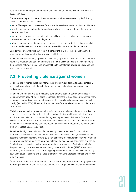<span id="page-20-0"></span>contrast married men experience better mental health than married women (Andrews et al 1999, Jorm 1997).

The severity of depression as an illness for women can be demonstrated by the following evidence (Rice & Tsianakis, 2004):

- ten to fifteen per cent of women suffer a major depressive episode shortly after childbirth
- one in four women and one in six men in Australia will experience depression at some time in their lives
- women with depression are significantly more likely to be prescribed anti-depressant drugs than men with the same diagnosis
- despite women being diagnosed with depression at a higher rate, it is not necessarily the case that depression in women is well recognised by doctors, family and friends.

Despite these overwhelming statistics, it is concerning that there is no gender analysis or response within the current National Mental Health Plan.

With mental health attracting significant new funding by the Australian Government in recent years, it is important that state contributions and future policy directions take into account the gendered nature of mental and emotional health so that more appropriate services and responses are provided.

### **7.3 Preventing violence against women**

Violence against women takes many forms including physical, sexual, financial, emotional and psychological abuse. It also affects women from all cultural and socio-economic backgrounds.

Violence has been found to be the leading contributor to death, disability and illness in Victorian women aged 15 to 44, being responsible for more of the disease burden than many commonly accepted preventable risk factors such as high blood pressure, smoking and obesity (VicHealth, 2004). However older women also face high levels of family violence and elder abuse.

While the VicHealth study was conducted in Victoria, it is widely considered to be indicative of the scope and size of the problem in other parts of Australia, with women in Aboriginal and Torres Strait Islander communities facing even higher levels of violence. This report also found broad consensus internationally that intimate partner violence is best addressed in the context of human rights, legal and health frameworks and through the development of multi-level strategies across sectors.

As well as the high personal costs of experiencing violence, Access Economics has undertaken a study on the economic and social costs of family violence, and estimate that it costs the Australian economy around \$8 billion per year (Access Economics 2004). With one in four women affected by intimate partner violence, the health costs are already enormous. Family violence is also the leading cause of family homelessness in Australia, with half of the people using homelessness services being parents with children (AFHO 2006). Most importantly, family violence is to a large degree preventable with more effective community education, tougher policing and a range of other preventative approaches that have proven to be successful.

Other forms of violence such as sexual assault, carer abuse, elder abuse, pornography, and trafficking of women for sex are also preventable with adequate commitment and resources.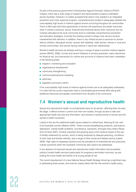<span id="page-21-0"></span>As part of the previous government's Partnerships Against Domestic Violence (PADV) initiative, there was a wide range of research and demonstration projects undertaken across Australia. However it is widely accepted that what is now needed is an integrated prevention and crisis response program, comprehensively funded to adequately address the unacceptably high levels of violence against women occurring throughout all communities. There is little hope that future generations of women will experience any better outcomes when it comes to physical, sexual, financial and emotional abuse when resources are not routinely allocated at the local community level to undertake comprehensive prevention and education strategies. Currently the existing women's refuge crisis service remains overwhelmed with demand. In addition, there is very limited access to services for women without children, Aboriginal women, women with disability, older women, women in rural and remote communities, and women facing violence in same-sex relationships.

Women's health services are already working in a range of ways to prevent violence against women (WHAV, 2006). Current and recent initiatives in primary prevention, early intervention for those at risk, and intervention for victims and survivors of violence have been undertaken in the following areas:

- research, monitoring and evaluation
- organisational development
- community strengthening
- communications/social marketing
- advocacy
- legislative and policy reform.

If the unacceptably high levels of violence against women are to be adequately addressed, it is clear that the current responses need a coordinated governmental effort along with additional resources and greater commitment from all parts of the community.

### **7.4 Women's sexual and reproductive health**

Sexual and reproductive health is a fundamental issue for all women, affecting them at every life stage. It affects women's control over their own bodies, through access to safe and appropriate health services and information, and remains a central priority of women and the women's health movement.

Linked to this are the additional health issues related to motherhood, affecting 87 per cent of all Australian women (Weston 2004). These include breastfeeding problems, post-partum depression, mental health problems, incontinence, backache, amongst many others (Rowe, Amir & Fisher 2007). Another important and growing issue is the medical impact of the use of fertility treatments by women, which is being impacted by delayed parenting, conditions of both male and female infertility, and a range of other social and lifestyle factors (Labett 2006). High rates of caesarean sections and the prevalence of endometriosis and polycystic ovarian syndrome within the Australian community also need to be addressed.

In the absence of improved sexual and reproductive health information and accessible publicly funded health services (particularly for pregnancy termination services), we are putting the future health and fertility of all young people at risk.

The current development of a new National Sexual Health Strategy should go a significant way to addressing these issues, and must be closely linked with the new women's health policy.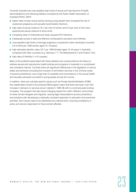Currently Australia has unacceptably high levels of sexual and reproductive ill-health, demonstrated by the following statistics compiled by the Public Health Association of Australia (PHAA, 2007):

- higher rates of early sexual activity among young people have increased the risk of unplanned pregnancy and sexually transmissible infections
- high rates of sexual violence (19.1 per cent of women and 5.5 per cent of men have experienced sexual violence of some kind)
- increasing rates of chlamydia and newly acquired HIV infections
- inadequate access to safe and effective contraceptive education and methods
- unacceptably high levels of teenage pregnancy compared to other developed countries (18.4 births per 1000 women aged 15–19 years)
- high estimated abortion rates (19.7 per 1000 females aged 15-44 years in Australia) compared with other countries (e.g. Germany 7.7, The Netherlands 8.7 and Finland 10.9)
- high rates of infertility (1 in 6 couples).

Many of the problems associated with these statistics are compounded by the failure to address sexual and reproductive health policies and programs in Australia in a coordinated and consistent manner. Currently there are significant differences in the legislation of various states and territories (including the inclusion of termination services in the Criminal codes of several jurisdictions), and a high level of variability and inconsistency in the sexual health and sexuality education provided to young people across the country.

In addition, there are culturally specific issues such as Female Genital Mutilation (FGM). Key stakeholders linked to the existing FGM program report that there has been a ten-fold increase in demand on services since it started in 1995–96 with no commensurate funding increases. The program has also faced changing needs from within different communities of newly arrived refugees and migrants, varying legal interpretations across jurisdictions, and problems with developing a nationally consistent approach to education and prevention activities. Such issues need to be addressed at a national level, ensuring consistency in policy and service responses for those women affected.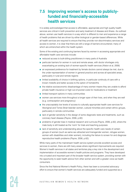### <span id="page-23-0"></span>**7.5 Improving women's access to publiclyfunded and financially-accessible health services**

It is widely acknowledged that access to affordable, appropriate and high quality health services are critical in both prevention and early treatment of disease and illness. As outlined above, women use health services in a way which is different to men and experience a range of health problems that are driven by either biological or gender-based differences. While all health services are required to ensure that they provide non-discriminatory services and access to women, it is clear that there are still a range of barriers encountered, many of which are entrenched within the health system.

Some of the existing and continuing barriers faced by women in accessing appropriate and affordable health care services include:

- reduced access to bulk-billing practitioners in many parts of Australia
- particular barriers for women in rural and remote areas, with doctor shortages only exacerbating an existing lack of women-specific health services (Alston et al, 2006)
- an expressed preference for treatment by female doctors cannot always be met, due to the under-representation of women in general practice and across all specialist areas, particularly in rural and remote regions
- limited availability of choice in birthing options, in particular continuity of care with a known midwife and better access to the option of homebirths
- the relative socioeconomic disadvantage of many women means they are unable to afford private health insurance or high out-of-pocket costs for medications or treatment
- limited transport options in many communities
- women use services more throughout a longer span of their lives, and when they are well (e.g. contraception and pregnancy)
- the unacceptably low levels of access to culturally appropriate health care services for Aboriginal and Torres Strait Islander women, cultural minorities and certain ethnic groups, particularly in remote communities
- lack of gender sensitivity in the design of some diagnostic tests and treatments, such as coronary heart disease (Payne, 2006, p.60)
- problems of gender bias in medical research and curricula (Payne, 2006, p.62), where the male body is still treated as the 'norm' for trials and teaching purposes
- lack of sensitivity and understanding about the specific health care needs of certain groups of women (such as same sex attracted and transgender women, refugee women, women with disabilities and older women), including the failure to screen for and diagnose reproductive health problems (Payne, 2006, p.62).

While many parts of the mainstream health service system provide excellent access and services to women, there are still many areas where significant improvements are required. Women's health services in all states and territories play a key role in the development and implementation of accessible women's health policies and programs. They have developed into a trusted and important part of the broader health service system, providing women with the opportunity to seek health advice from other women and with a greater voice as health consumers.

Since the first National Women's Health Policy, there has been a concerted advocacy effort to ensure that women's health services are adequately funded and supported as a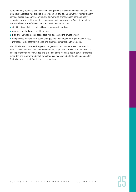complementary specialist service system alongside the mainstream health services. This 'dual track' approach has allowed the development of a strong network of women's health services across the country, contributing to improved primary health care and health education for women. However there are concerns in many parts of Australia about the sustainability of women's health services due to factors such as:

- significant population growth without an increase in funding
- an over-stretched public health system
- high and increasing costs associated with accessing the private system
- complexities resulting from social changes such as increased drug and alcohol use, increased levels of family violence and diagnosed mental health problems.

It is critical that this dual track approach of generalist and women's health services is funded at sustainable levels, based on changing populations and shifts in demand. It is also important that the knowledge and expertise of the women's health service system is expanded and incorporated into future strategies to achieve better health outcomes for Australian women, their families and communities.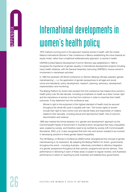# <span id="page-25-0"></span> $\frac{2}{2}$  International developments in  $\frac{2}{2}$ women's health policy

1975 marked a turning point in the approach towards women's health, with the United Nations International Women's Year conference in Mexico establishing the move towards an equity model, rather than a traditional welfare/poverty approach, to women's health.

UNIFEM (United Nations Development Fund for Women) was established in 1984 to recognise the importance of gender equality in international development projects including many health initiatives, with the General Assembly instructing UNIFEM to 'ensure women's involvement in mainstream activities'.

In 1995 the landmark UN World Conference on Women (Beijing) officially adopted 'gender mainstreaming'—i.e. the application of gender perspectives to all legal and social norms and standards, policy development, research, planning, advocacy, development, implementation and monitoring.

The Beijing Platform for Action that resulted from this conference has helped drive women's health policy over the last decade, including an emphasis on health as a basic human right and the importance of women to be free from violence in order to maximise their health outcomes. A key statement from the conference was:

*Women's right to the enjoyment of the highest standard of health must be secured throughout the whole life cycle in equality with men. The human rights of women include their right to have control over and decide freely and responsibly on matters related to their sexuality, including sexual and reproductive health, free of coercion, discrimination and violence.* 

1995 also marked the formal adoption of a 'gender and development' approach by the Commonwealth Heads of Government in Auckland which recognised that many inequalities were created by society, and therefore need to be rectified by society (UK Commonwealth Secretariat, 2002, p.5). It also recognised that both men and women needed to be involved in developing solutions to these gender based inequalities.

The UN Beijing +5 Women's Conference (2000) further strengthened the concept of gender mainstreaming in its resolutions. By adopting the Beijing Platform for Action, governments throughout the world—including Australia—effectively committed to effective integration of a gender perspective throughout all their policies, programs and service delivery. Their performance in delivering in each of these areas is subject to regular reviews, and Australia's performance is reliant on reporting by both Australian and state/territory governments.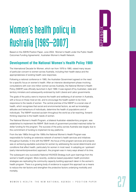# <span id="page-26-0"></span>Women's health policy in Australia (1985–2007) BAPPENDIX

Based on the AWHN Position Paper, June 2004, 'Women's Health under the Public Health Outcomes Funding Agreements', Australian Women's Health Network.

### **Development of the National Women's Health Policy 1989**

The International Decade for Women, which ran from 1976 to 1985, raised many issues of particular concern to women across Australia, including their health status and the appropriateness of existing health care responses.

Following a national conference in 1985, the Australian Government agreed on the need for a specific focus on women's health. After an intensive development phase involving consultations with over one million women across Australia, the National Women's Health Policy (NWHP) was officially launched in April 1989. It was signed off by Australian, state and territory ministers and subsequently endorsed by both Liberal and Labor governments.

The goals of the policy were to improve the health and wellbeing of all women in Australia, with a focus on those most at risk, and to encourage the health system to be more responsive to the needs of women. The central premise of the NWHP is a social view of health, which recognises that social and environmental factors, as well as knowledge, attitudes and behaviours of individuals, determine the health of populations and of individuals. The NWHP received acclaim throughout the world as a far-reaching, forwardthinking response to the health needs of women.

The National Women's Health Program, a bilateral Australian–state/territory program, was established to implement the NWHP. Both levels of government provided matched dollar for dollar funding for the program. The success of the policy across Australia was largely due to this commitment of funding to implement its key platforms.

From the late 1980s through the 1990s the National Women's Health Program was responsible for funding an extensive network of women's health services and initiatives throughout Australia. In line with the NWHP, the focus of the program services and projects was on achieving equitable outcomes for women by addressing the social determinants and conditions that affect health, particularly for women in most need. In adopting an 'upstream' (early intervention/prevention) approach, the program was in many ways ahead of its time.

The subsequent very successful National HIV/AIDS Strategy built upon learnings from the women's health program. More recently, evidence based population health promotion strategies are replicating the community capacity building approach taken in the women's health program. There is a growing body of evidence to support this approach as a means to reduce the risk factors and strengthen the protective factors underlying morbidity and mortality.

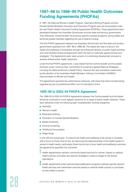### <span id="page-27-0"></span>**1997–98 to 1998–99 Public Health Outcomes Funding Agreements (PHOFAs)**

In 1997, the National Women's Health Program, Alternative Birthing Program and the Female Genital Mutilation Education and Prevention Program were all incorporated under the new Public Health Outcomes Funding Agreements (PHOFAs). These agreements were developed between the Australian Government and the state and territory governments. They effectively 'broad-banded' the previous specific purpose programs, giving states and territories greater flexibility regarding the use of federal funding.

The first PHOFA agreement between the Australian Government and the state and territory governments operated from 1997–98 to 1998–99. The stated aim was to improve *'the health and wellbeing of Australians through the enhanced delivery of public health activities and more flexible funding arrangements within the spirit of nationally agreed polices and strategies'. The Agreements were 'seen as part of a continuing development process to achieve shared public health objectives.'*

Under the first PHOFA agreements, it was stated that the Commonwealth and the states/ territories would *'continue their commitment to implement agreed National Strategies',*  including the National Women's Health Policy. However this was somewhat undermined by the abolition of the Australian Health Ministers' Advisory Committee's (AHMAC) Subcommittee on Women and Health.

The agreements specified few performance measures, with those that were included being regarded as part of jurisdictional effort, but not intended to limit it.

### **1999–00 to 2003–04 PHOFA Agreement**

The 1999–00 to 2003–04 PHOFA Agreements between the Commonwealth and the states/ territories continued to cover agreed outcomes for a range of public health initiatives. These were delivered under the following eight 'broadbanded' funding categories:

- HIV/AIDS
- Women's health
- Alternative birthing
- Education on Female Genital Mutilation
- Breast screening
- Cervical screening
- Childhood immunisation
- Illegal drugs

In line with the overall goal, *'to improve the health and wellbeing of all women in Australia, with a focus on those most at risk, by improving the responsiveness of the health system to*  women's health needs, particularly those most at risk of poor health and wellbeing outcomes the agreements specified five outcomes:

Health departments maintain community based services for women, based on national health policies, principles and specific strategies in place to target at risk female populations.

**I** Health departments foster partnerships/collaborative programs between gender specific health services and mainstream services based on national health policies or principles as they relate to women.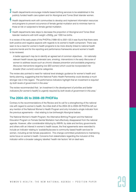- Health departments encourage midwife based birthing services to be established in the publicly funded health care system and for Aboriginal and Torres Strait Islander women.
- 4 Health departments work with communities to develop and implement information resources and programs to prevent occurrence of female genital mutilation and to minimise harm to those at risk or subjected to female genital mutilation.
- $\overline{5}$  Health departments take steps to decrease the proportion of Aboriginal and Torres Strait Islander newborns with birth weight <2500g, per 1000 live births.

In a review of the early years of the PHOFAs (1999–00 to 2001–02) it was found that there were both positive and negative aspects with regards to its women's health component. There was seen to be a need for women's health programs to be more directly linked to national health outcome trends and for the reporting and performance frameworks around women's health to be reviewed.

*A better approach may be to identify an agreed set of common objectives… for nationally relevant health issues (eg antenatal care, smoking, interventions in the early lifecourse of women to address issues such as chronic disease prevention and avoidable pregnancy; lifecourse interventions targeting low SES women) which could be incorporated into broader (than current) outcome categories.*

The review also pointed to need for national level strategic guidance for women's health and family planning, suggesting that the National Public Health Partnership could develop a much stronger role in this regard. *'The performance indicators highlight that an investment is required by both levels of government in this area.'*

The review recommended that: *'an investment in the development of priorities and better indicators [for women's health] is urgently required by both levels of government in this area.'*

### **The 2004–05 to 2008–09 PHOFAs**

Contrary to the recommendations of the Review and its call for a strengthening of the national role with regard to women's health, the initial draft of the 2004–05 to 2008–09 PHOFAs left out any mention of the National Women's Health Program and only included a single indicator from the previous agreements—that relating to low birthweight Aboriginal babies.

The National Women's Health Program, the Alternative Birthing Program and the National Education Program on Female Genital Mutilation had effectively disappeared from the national agenda. However, after considerable lobbying by AWHN, by state and territory governments and others with an interest in women's health issues, the final agreements were reworded to include an indicator relating to 'availability/access to community based health services for women, including at-risk female populations'. This change committed jurisdictions to maintaining some focus on women's health. Concerns from stakeholders regarding the inclusion of this indicator within a broader category labelled 'health risk factors' fell on deaf ears.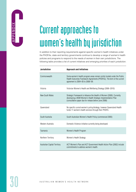

# <span id="page-29-0"></span>C Current approaches to women's health by jurisdiction

In addition to their reporting requirements against specific women's health initiatives under the PHOFAs, state and territory governments continue to develop a range of women's health policies and programs to respond to the needs of women in their own jurisdictions. The following table provides a list of current initiatives and emerging priorities of each jurisdiction.

| <b>Jurisdiction</b>          | <b>Approach and Initiatives</b>                                                                                                                                                                |
|------------------------------|------------------------------------------------------------------------------------------------------------------------------------------------------------------------------------------------|
| Commonwealth                 | Some women's health program areas remain jointly funded under the Public<br>Health Outcomes Framework Agreements (PHOFAs). The term of the current<br>agreement is 2004-05 to 2008-09.         |
| Victoria                     | Victorian Women's Health and Wellbeing Strategy (2006–2010)                                                                                                                                    |
| New South Wales              | Strategic Framework to Advance the Health of Women (2000). Currently<br>developing a NSW Women's Health Strategic Implementation Plan<br>(consultation paper due for release before June 2008) |
| Queensland                   | No specific current women's policy/strategy, however Queensland Health<br>funds 11 women's health services through their PHOFA.                                                                |
| South Australia              | South Australian Women's Health Policy (commenced 2005)                                                                                                                                        |
| Western Australia            | Domestic Violence initiative currently being developed.                                                                                                                                        |
| Tasmania                     | Women's Health Program                                                                                                                                                                         |
| Northern Territory           | Women's Health Strategy                                                                                                                                                                        |
| Australian Capital Territory | ACT Women's Plan and ACT Government Health Action Plan (2002) include<br>commitments to address women's health.                                                                                |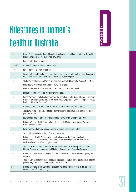

# <span id="page-30-0"></span>Milestones in women's  $\frac{1}{2}$ <br> **health in Australia Dependent Constant Plangrapia description**<br> **health in Australi** Plangrapia des in Melbourne (one of three hospitals in the world

| 1896      | Queen Victoria Memorial Hospital founded in Melbourne (one of three hospitals in the world<br>founded, managed and run by women, for women)                                                                                     |
|-----------|---------------------------------------------------------------------------------------------------------------------------------------------------------------------------------------------------------------------------------|
| 1914      | First baby health centre opened                                                                                                                                                                                                 |
| 1920s/30s | Growth of maternal and infant health programs                                                                                                                                                                                   |
| 1970s     | Family planning program established                                                                                                                                                                                             |
| 1973      | Women set up health centres, refuges and crisis centres in all states and territories. Some were<br>later funded under the Commonwealth Community Health Program                                                                |
| 1975      | 'United Nations International Year of Women' (followed by UN Decade for Women 1976-1985)                                                                                                                                        |
|           | First National Women's Health Conference, held in Brisbane                                                                                                                                                                      |
|           | Medibank introduced (Australia's first universal health insurance scheme)                                                                                                                                                       |
| 1983      | Medicare scheme introduced (revised from Medibank)                                                                                                                                                                              |
| 1985      | Second Women's Health Conference passes the resolution: 'That a National Policy on Women's<br>Health be developed consistent with the World Health Organization Global Strategy for Towards<br>Health for All by the Year 2000' |
| 1986      | Consultation with over one million women on the national women's health agenda                                                                                                                                                  |
| 1987      | Appointment of a special adviser to the Health Minister to coordinate development of a health<br>policy for women                                                                                                               |
| 1988      | Launch of discussion paper 'Women's Health: a Framework for Change' (Feb, 1988)                                                                                                                                                 |
| 1989      | National Women's Health Policy endorsed by all Health Ministers, and National Women's<br>Health Program launched                                                                                                                |
| 1991      | Breastscreen Australia and National cervical screening program established                                                                                                                                                      |
| 1993      | Second National Women's Health Program commenced                                                                                                                                                                                |
|           | National Public Health Partnership launched, with women's health program funding<br>broadbanded into the Public Health Outcomes Framework Agreements (PHOFA) between<br>the Australian and state/territory governments          |
| 1999      | Second PHOFA Agreements included the National Women's Health Program, Alternative<br>Birthing Program, and Female Genital Mutilation Education and Prevention Program                                                           |
| 2001      | National Women's Health Conference calls for 'a renewed national women's health policy and<br>program'                                                                                                                          |
|           | Third PHOFA agreement further broadbands funding to include three 'overarching public health<br>priority categories' to incorporate women's health priorities                                                                   |
| 2005      | National Women's Health Conference agrees on the critical need to redevelop the National<br>Women's Health Policy and Program.                                                                                                  |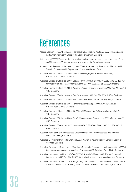## <span id="page-31-0"></span>References

- Access Economics (2004) *The cost of domestic violence to the Australian economy: part I and part II*, Commonwealth Office of the Status of Women, Canberra
- Alston M et al (2006) 'Brutal Neglect: Australian rural women's access to health services', *Rural and Remote Health Journal* (online), available at <http://rrh.deakin.edu.au>
- Andrews, Hall, Teesson, & Henderson (1999) 'The mental health of Australians', Mental Health Branch, Commonwealth Department of Health and Aged Care
- Australian Bureau of Statistics (2006) *Australian Demographic Statistics June 2006, Cat. No. 3101.0*, ABS, Canberra
- Australian Bureau of Statistics (2006) *Labour Force Australia, December 2006, Table 02, Labour force status by sex—seasonally adjusted, Cat. No. 6202.0.55.001*, ABS, Canberra
- Australian Bureau of Statistics (2006) *Average Weekly Earnings, November 2006, Cat. No. 6302.0,* ABS, Canberra
- Australian Bureau of Statistics (2005) *Deaths, Australia 2005, Cat. No. 3302.0*, ABS, Canberra
- Australian Bureau of Statistics (2005) *Births, Australia 2005, Cat. No. 3301.0*, ABS, Canberra
- Australian Bureau of Statistics (2005) *Personal Safety Survey, Australia 2005 (Reissue), Cat. No. 4906.0*, ABS, Canberra
- Australian Bureau of Statistics (2004–05) *2004–05 National Health Survey, Cat. No. 4364.0*, ABS, Canberra
- Australian Bureau of Statistics (2003) *Family Characteristics Survey, June 2003, Cat. No. 4442.0*, ABS, Canberra
- Australian Bureau of Statistics (1997) *How Australian's Use Their Time, 1997, Cat. No. 4153.0*, ABS, Canberra
- Australian Federation of Homelessness Organisations (2006) 'Homelessness and Families' Factsheet, AFHO, Canberra
- Australian Government Office for Women (2007) *Women in Australia 2007*, Commonwealth of Australia, Canberra
- Australian Government Department of Families, Community Services and Indigenous Affairs (2004) *Income support customers: a statistical overview 2004,* Statistical Paper No.3, Canberra
- Australian Institute of Health and Welfare (2006a) *Australia's Health 2006*: *The tenth biennial health report*, AIHW Cat. No. AUS73*,* Australian Institute of Health and Welfare, Canberra
- Australian Institute of Health and Welfare (2006b) *Chronic diseases and associated risk factors in Australia*, AIHW Cat. No. PHE81*,* Australian Institute of Health and Welfare, Canberra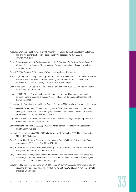- Australian Women's Health Network (2004) 'Women's Health under the Public Health Outcomes Funding Agreements', Position Paper June 2004, accessed 15 July 2007 at [www.awhn.org.au](http://www.awhn.org.au)
- Bandt Gatter & Associates & Purdon Associates (1997) *Report of the National Evaluation of the Second Phase of National Women's Health Program,* unpublished, Commonwealth of Australia, Canberra
- Baum F (2002) *The New Public Health,* Oxford University Press, Melbourne
- Broom D (2006) 'Complicating Gender', paper presented at Women's Health Matters: From Policy to Practice Summit 2006, published online by Women's Health Association of Victoria, Melbourne, [http://www.whv.org.au/Articles/WHM\\_summit.pdf](http://www.whv.org.au/Articles/WHM_summit.pdf)
- Chan A and Sage LC (2005) 'Estimating Australia's abortion rates 1985-2003' in *Medical Journal of Australia,* 182 (9):447–452
- Clare R (2004) 'Why can't a woman be more like a man—gender difference in retirement savings'*,* paper presented at the ASFA 2004 National Conference and Super Expo 12–14 November, 2004
- Commonwealth Department of Health and Ageing Factbook (2006) available at [www.health.gov.au](http://www.health.gov.au)
- Commonwealth Department of Health, Housing, Local Government and Community Services (1993) *National Women's Health Program: Evaluation and Future Directions,* Australian Government Publishing Services, Canberra
- Department of Human Services (2002) *Women's Health and Wellbeing* Strategy, Department of Human Services, Victoria, Melbourne
- Government of South Australia (2005) *South Australian Women's Health Policy,* Department of Health, South Australia
- Graduate Careers Australia (2005, 2006) *Gradstats,* No.10 December 2005, No.11, December 2006, GCA, Melbourne
- Gray G (1998) 'How Australia Came to Have a National Women's Health Policy', *International Journal of Health Services,* Vol. 28, pp107–125
- Gray G (1999) 'Women's Health in a Restructuring State' in Linda Hancock (ed) *Women, Public Policy and the State,* South Yarra, Macmillan
- Gray G (2008) 'Institutional, Incremental and Persistent: Women's Health Action in Canada and Australia', in Sandra Grey and Marian Sawer (eds) *Women's Movements: Flourishing or in Abeyance?* London and New York, Routledge
- Grayson N, Hargreaves J, and Sullivan EA (2005) *Use of routinely collected national data sets of reporting on induced abortion in Australia, AIHW Cat. No. PER30,* AIHW National Perinatal Statistics Unit, Sydney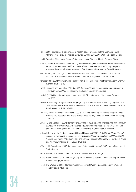- Hall R (2006) 'Gender as a determinant of health', paper presented at the 'Women's Health Matters: From Policy to Practice Statewide Summit July 2006', Women's Health Victoria
- Health Canada (1999) *Health Canada's Women's Health Strategy,* Health Canada, Ottawa
- Hillier L, Turner A, Mitchell A, (2005) *Writing themselves in again: 6 years on: the second national*  report on the sexuality, health and well-being of same sex attracted young people in *Australia,* Australian Research Centre in Sex, Health and Society, La Trobe University
- Jorm A (1997) 'Sex and age differences in depression: a quantitative synthesis of published research' in *Australian and New Zealand Journal of Psychiatry,* Vol. 21:46–53
- Komaseroff P (2001) 'Why Women's Health? From a researcher's point of view' in *Health Sharing Women,* 11(4): 12–16
- Labett Research and Marketing (2006) *Fertility Study: attitudes, experiences and behaviours of Australian General Public,* Report for the Fertility Society of Australia
- Lewis S (2007) Unpublished paper presented at IUHPE conference in Vancouver Canada, June 2007
- McNair R, Kavanagh A, Aguis P and Tong B (2005) 'The mental health status of young adult and mid-life non-heterosexual Australian women' in *The Australia and New Zealand Journal of Public Health,* Vol. 29:265–271
- Mouzos J (2005) *Homicide in Australia: 2003–04 National Homicide Monitoring Program Annual Report),* AIC Research and Public Policy Series No. 66, Australian Institute of Criminology, Canberra
- Mouzos J and Makkai T (2004) *Women's experience of male violence: findings from the Australian component of the International Violence Against Women Survey (IVAWS),* AIC Research and Public Policy Series No. 56, Australian Institute of Criminology, Canberra
- National Centre in HIV Epidemiology and Clinical Research (2006) *HIV/AIDS, viral hepatitis and sexually transmissible infections in Australia Annual Surveillance Report, 2001 and 2006,* National Centre in HIV Epidemiology and Clinical Research, University of New South Wales and Australian Institute of Health and Welfare
- NSW Health Department (2002) *Women's Heath Outcomes Framework,* NSW Health Department, North Sydney
- Payne S (2006) *The Health of Men and Women,* Polity Press, Cambridge
- Public Health Association of Australia (2007) 'PHAA calls for a National Sexual and Reproductive Health Strategy', unpublished
- Rice K and Walker C (2005) 'Gender Impact Assessment Paper: Financial Security', Women's Health Victoria, Melbourne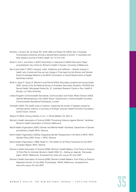- Richters J, Grulich AE, de Visser RO, Smith AMA and Rissel CE (2003) 'Sex in Australia: Contraceptive practices among a representative sample of women' in *Australian and New Zealand Journal of Public Health,* Vol. 27:210–216
- Rowe H, Amir L and Fisher J (2007) Submission in response to AWHN Discussion Paper (unpublished), Key Centre for Women's Health in Society, University of Melbourne
- Sen G and Ostlin P (2007) *Unequal, unfair, ineffective and inefficient—Gender inequity in health: why it exists and how we can change it,* Final report by the Women and Gender Equity Knowledge Network to the WHO Commission on Social Determinants of Health, Karolinska Institute
- Smith A, Agius P, Dyson S, Mitchell A and Pitts M (2003) *Secondary students and sexual health, 2002: results of the 3rd National Survey of Australian Secondary Students,* HIV/AIDS and Sexual Health, Monograph Series No. 47, Australian Research Centre in Sex, Health & Society, La Trobe University
- United Kingdom Commonwealth Secretariat, Communication and Public Affairs Division (2002) *Gender Mainstreaming in the Health Sector: Experiences in Commonwealth Countries*, Commonwealth Secretariat Publications, London
- VicHealth (2004) *The health costs of violence: measuring the burden of disease caused by intimate partner violence: A summary of findings,* Victorian Health Promotion Foundation, Carlton South, Victoria
- Weston R (2004) 'Having children or not', in *Family Matters,* Vol. 69:4–9
- Women's Health Association of Victoria (2006) "Preventing Violence Against Women" factsheet, Women's Health Association of Victoria, Melbourne
- World Health Organization (2002) 'Gender and Mental Health' Factsheet, Department of Gender and Women's Health WHO, Geneva
- World Health Organization (2002a) *Integrating Gender Perspectives in the Work of WHO: WHO Gender Policy 2002,* Annex 1, WHO, Geneva
- World Health Organization (1999) *Health 21: The Health for All Policy Framework for the WHO European Region,* WHO, Geneva
- Women's Health Association of Victoria (2006) 'Women's Health Matters: From Policy to Practice. 10 Point Plan for Victorian Women's Health 2006–10—Setting an Agenda', Discussion paper, WHAV, Melbourne. Accessed from [www.whv.org.au](http://www.whv.org.au) 30 June 2007
- Women's Health Association of Victoria (2006) 'Women's Health Matters: From Policy to Practice. Statewide Summit 13 July 2006: Proceedings', WHAV, Melbourne. Accessed from [www.whv.org.au](http://www.whv.org.au) 30 June 2007